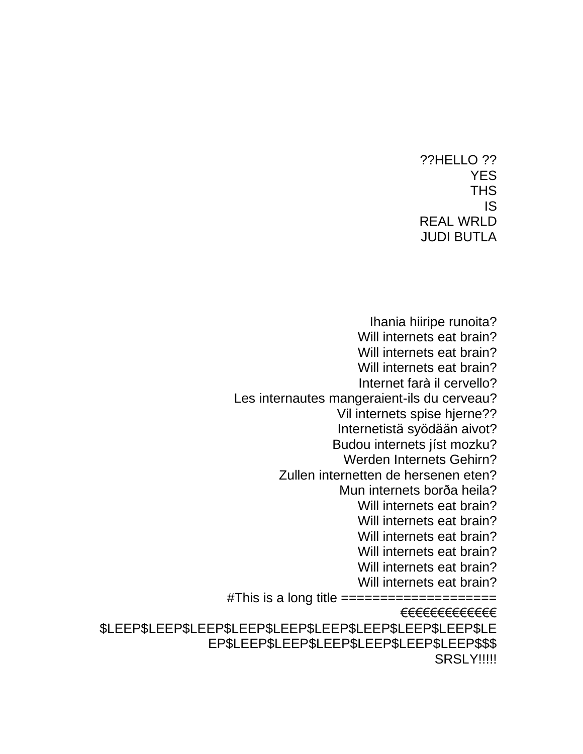??HELLO ?? YES **THS** IS REAL WRLD JUDI BUTLA

Ihania hiiripe runoita? Will internets eat brain? Will internets eat brain? Will internets eat brain? Internet farà il cervello? Les internautes mangeraient-ils du cerveau? Vil internets spise hjerne?? Internetistä syödään aivot? Budou internets jíst mozku? Werden Internets Gehirn? Zullen internetten de hersenen eten? Mun internets borða heila? Will internets eat brain? Will internets eat brain? Will internets eat brain? Will internets eat brain? Will internets eat brain? Will internets eat brain? #This is a long title ===================== €€€€€€€€€€€€€ \$LEEP\$LEEP\$LEEP\$LEEP\$LEEP\$LEEP\$LEEP\$LEEP\$LEEP\$LE EP\$LEEP\$LEEP\$LEEP\$LEEP\$LEEP\$LEEP\$\$\$ SRSLY!!!!!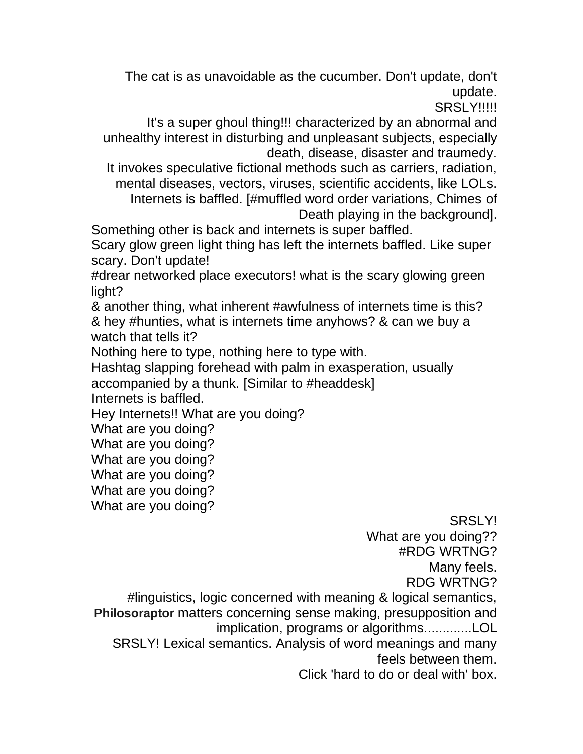The cat is as unavoidable as the cucumber. Don't update, don't update.

SRSLY!!!!!

It's a super ghoul thing!!! characterized by an abnormal and unhealthy interest in disturbing and unpleasant subjects, especially death, disease, disaster and traumedy.

It invokes speculative fictional methods such as carriers, radiation, mental diseases, vectors, viruses, scientific accidents, like LOLs. Internets is baffled. [#muffled word order variations, Chimes of Death playing in the background].

Something other is back and internets is super baffled.

Scary glow green light thing has left the internets baffled. Like super scary. Don't update!

#drear networked place executors! what is the scary glowing green light?

& another thing, what inherent #awfulness of internets time is this? & hey #hunties, what is internets time anyhows? & can we buy a watch that tells it?

Nothing here to type, nothing here to type with.

Hashtag slapping forehead with palm in exasperation, usually accompanied by a thunk. [Similar to #headdesk]

Internets is baffled.

Hey Internets!! What are you doing?

What are you doing?

What are you doing?

What are you doing?

What are you doing?

What are you doing?

What are you doing?

SRSLY! What are you doing?? #RDG WRTNG? Many feels. RDG WRTNG? #linguistics, logic concerned with meaning & logical semantics, **Philosoraptor** matters concerning sense making, presupposition and implication, programs or algorithms.............LOL SRSLY! Lexical semantics. Analysis of word meanings and many feels between them. Click 'hard to do or deal with' box.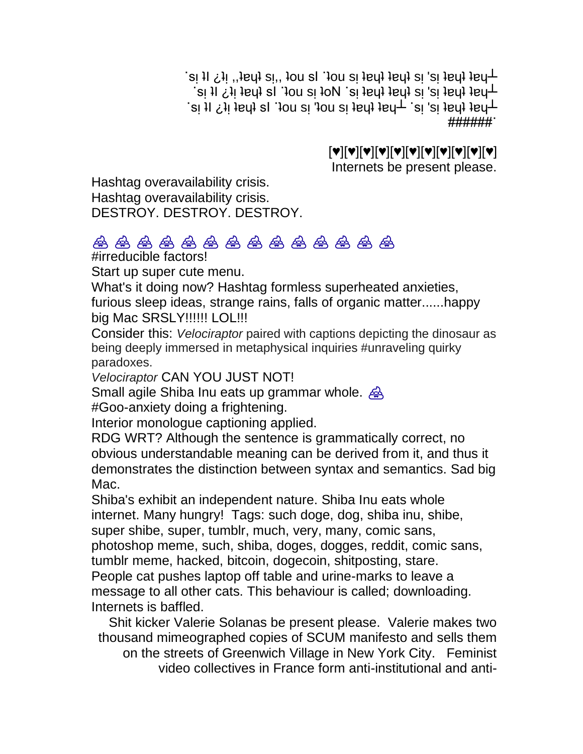$\pm$ ust fly  $\mu$ yl,  $\mu$ ey $\mu$  sı,,  $\mu$ ou sl $\mu$ iou sı  $\mu$ ey $\mu$  all  $\mu$ ley is $\mu$ ey is؛ 'sı  $\mu$  $\pm$ ust they is a low say they is they is the is it is it is is they  $\pm$ isı  $\mu$  i,  $\mu$  leu $\mu$  si ' $\mu$ ou sı  $\mu$ eu $\mu$  i eu $\pm$ i sı 'sı  $\mu$ eu $\mu$ #######

## [♥][♥][♥][♥][♥][♥][♥][♥][♥][♥][♥]

Internets be present please.

Hashtag overavailability crisis. Hashtag overavailability crisis. DESTROY. DESTROY. DESTROY.

## 盘盘盘盘盘盘盘盘盘盘盘盘盘盘

#irreducible factors!

Start up super cute menu.

What's it doing now? Hashtag formless superheated anxieties, furious sleep ideas, strange rains, falls of organic matter......happy big Mac SRSLY!!!!!! LOL!!!

Consider this: *Velociraptor* paired with captions depicting the dinosaur as being deeply immersed in metaphysical inquiries #unraveling quirky paradoxes.

*Velociraptor* CAN YOU JUST NOT!

Small agile Shiba Inu eats up grammar whole.  $\triangle$ 

#Goo-anxiety doing a frightening.

Interior monologue captioning applied.

RDG WRT? Although the sentence is grammatically correct, no obvious understandable meaning can be derived from it, and thus it demonstrates the distinction between syntax and semantics. Sad big Mac.

Shiba's exhibit an independent nature. Shiba Inu eats whole internet. Many hungry! Tags: such doge, dog, shiba inu, shibe, super shibe, super, tumblr, much, very, many, comic sans, photoshop meme, such, shiba, doges, dogges, reddit, comic sans, tumblr meme, hacked, bitcoin, dogecoin, shitposting, stare. People cat pushes laptop off table and urine-marks to leave a message to all other cats. This behaviour is called; downloading. Internets is baffled.

Shit kicker Valerie Solanas be present please. Valerie makes two thousand mimeographed copies of SCUM manifesto and sells them on the streets of Greenwich Village in New York City. Feminist video collectives in France form anti-institutional and anti-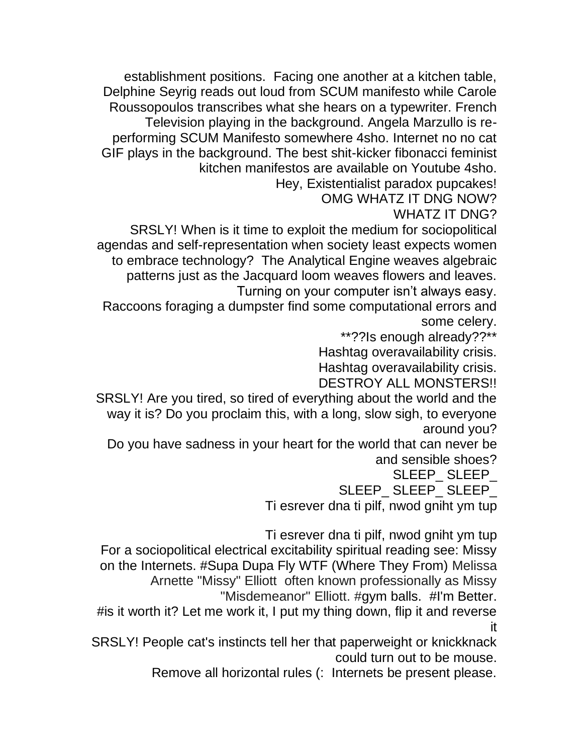establishment positions. Facing one another at a kitchen table, Delphine Seyrig reads out loud from SCUM manifesto while Carole Roussopoulos transcribes what she hears on a typewriter. French Television playing in the background. Angela Marzullo is reperforming SCUM Manifesto somewhere 4sho. Internet no no cat GIF plays in the background. The best shit-kicker fibonacci feminist kitchen manifestos are available on Youtube 4sho.

Hey, Existentialist paradox pupcakes!

OMG WHATZ IT DNG NOW?

WHATZ IT DNG?

SRSLY! When is it time to exploit the medium for sociopolitical agendas and self-representation when society least expects women to embrace technology? The Analytical Engine weaves algebraic patterns just as the Jacquard loom weaves flowers and leaves. Turning on your computer isn't always easy.

Raccoons foraging a dumpster find some computational errors and some celery.

\*\*??Is enough already??\*\*

Hashtag overavailability crisis.

Hashtag overavailability crisis.

DESTROY ALL MONSTERS!!

SRSLY! Are you tired, so tired of everything about the world and the way it is? Do you proclaim this, with a long, slow sigh, to everyone around you?

Do you have sadness in your heart for the world that can never be and sensible shoes?

SLEEP\_ SLEEP\_

SLEEP\_ SLEEP\_ SLEEP

Ti esrever dna ti pilf, nwod gniht ym tup

Ti esrever dna ti pilf, nwod gniht ym tup

For a sociopolitical electrical excitability spiritual reading see: Missy on the Internets. #Supa Dupa Fly WTF (Where They From) Melissa Arnette "Missy" Elliott often known professionally as Missy

"Misdemeanor" Elliott. #gym balls. #I'm Better.

#is it worth it? Let me work it, I put my thing down, flip it and reverse it

SRSLY! People cat's instincts tell her that paperweight or knickknack could turn out to be mouse.

Remove all horizontal rules (: Internets be present please.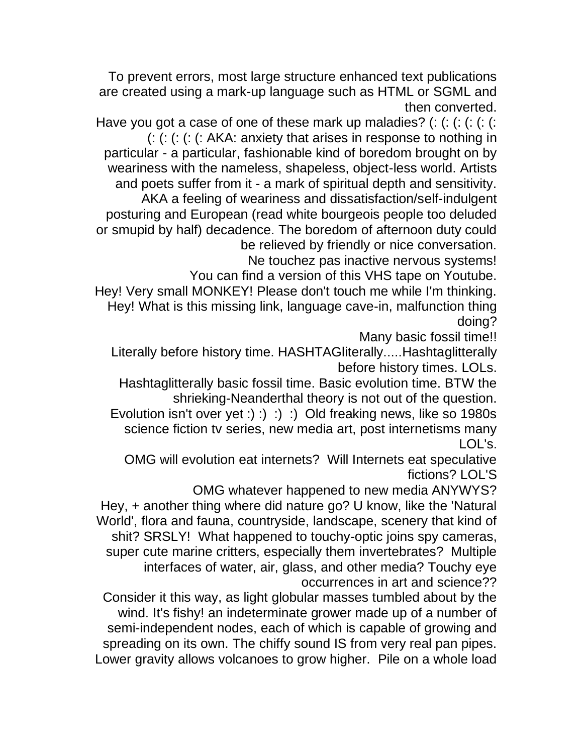To prevent errors, most large structure enhanced text publications are created using a mark-up language such as HTML or SGML and then converted.

Have you got a case of one of these mark up maladies? (: (: (: (: (: (: (: (: (: (: (: (: AKA: anxiety that arises in response to nothing in particular - a particular, fashionable kind of boredom brought on by weariness with the nameless, shapeless, object-less world. Artists and poets suffer from it - a mark of spiritual depth and sensitivity. AKA a feeling of weariness and dissatisfaction/self-indulgent posturing and European (read white bourgeois people too deluded or smupid by half) decadence. The boredom of afternoon duty could be relieved by friendly or nice conversation.

Ne touchez pas inactive nervous systems!

You can find a version of this VHS tape on Youtube.

Hey! Very small MONKEY! Please don't touch me while I'm thinking. Hey! What is this missing link, language cave-in, malfunction thing doing?

Many basic fossil time!!

Literally before history time. HASHTAGliterally.....Hashtaglitterally before history times. LOLs.

Hashtaglitterally basic fossil time. Basic evolution time. BTW the shrieking-Neanderthal theory is not out of the question.

Evolution isn't over yet :) :) :) :) Old freaking news, like so 1980s science fiction tv series, new media art, post internetisms many LOL's.

OMG will evolution eat internets? Will Internets eat speculative fictions? LOL'S

OMG whatever happened to new media ANYWYS?

Hey, + another thing where did nature go? U know, like the 'Natural World', flora and fauna, countryside, landscape, scenery that kind of shit? SRSLY! What happened to touchy-optic joins spy cameras, super cute marine critters, especially them invertebrates? Multiple interfaces of water, air, glass, and other media? Touchy eye occurrences in art and science??

Consider it this way, as light globular masses tumbled about by the wind. It's fishy! an indeterminate grower made up of a number of semi-independent nodes, each of which is capable of growing and spreading on its own. The chiffy sound IS from very real pan pipes. Lower gravity allows volcanoes to grow higher. Pile on a whole load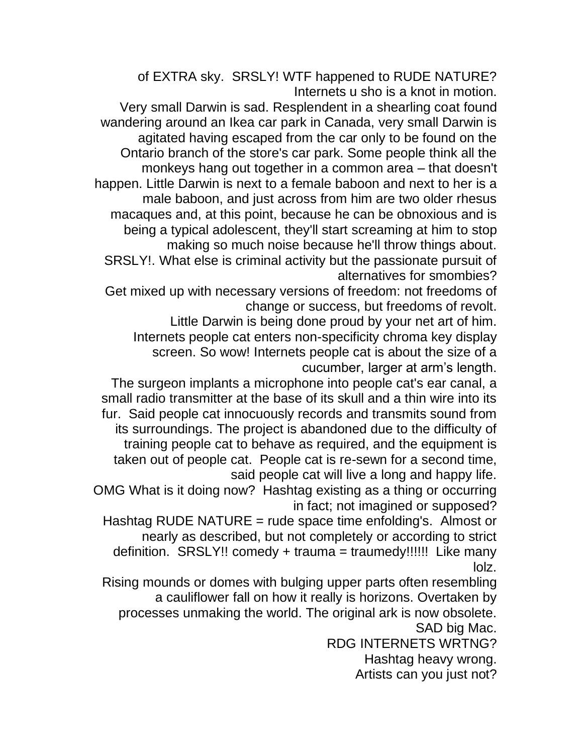of EXTRA sky. SRSLY! WTF happened to RUDE NATURE? Internets u sho is a knot in motion.

Very small Darwin is sad. Resplendent in a shearling coat found wandering around an Ikea car park in Canada, very small Darwin is agitated having escaped from the car only to be found on the Ontario branch of the store's car park. Some people think all the monkeys hang out together in a common area – that doesn't happen. Little Darwin is next to a female baboon and next to her is a male baboon, and just across from him are two older rhesus macaques and, at this point, because he can be obnoxious and is being a typical adolescent, they'll start screaming at him to stop making so much noise because he'll throw things about. SRSLY!. What else is criminal activity but the passionate pursuit of alternatives for smombies?

Get mixed up with necessary versions of freedom: not freedoms of change or success, but freedoms of revolt.

Little Darwin is being done proud by your net art of him. Internets people cat enters non-specificity chroma key display screen. So wow! Internets people cat is about the size of a cucumber, larger at arm's length.

The surgeon implants a microphone into people cat's ear canal, a small radio transmitter at the base of its skull and a thin wire into its fur. Said people cat innocuously records and transmits sound from its surroundings. The project is abandoned due to the difficulty of training people cat to behave as required, and the equipment is taken out of people cat. People cat is re-sewn for a second time, said people cat will live a long and happy life.

OMG What is it doing now? Hashtag existing as a thing or occurring in fact; not imagined or supposed?

Hashtag RUDE NATURE = rude space time enfolding's. Almost or nearly as described, but not completely or according to strict definition. SRSLY!! comedy + trauma = traumedy!!!!!! Like many lolz.

Rising mounds or domes with bulging upper parts often resembling a cauliflower fall on how it really is horizons. Overtaken by processes unmaking the world. The original ark is now obsolete. SAD big Mac.

RDG INTERNETS WRTNG?

Hashtag heavy wrong.

Artists can you just not?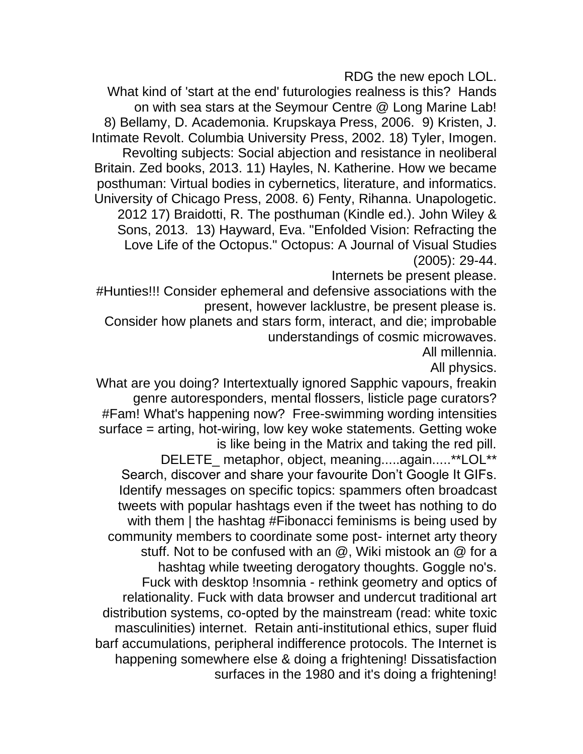RDG the new epoch LOL.

What kind of 'start at the end' futurologies realness is this? Hands on with sea stars at the Seymour Centre @ Long Marine Lab! 8) Bellamy, D. Academonia. Krupskaya Press, 2006. 9) Kristen, J. Intimate Revolt. Columbia University Press, 2002. 18) Tyler, Imogen. Revolting subjects: Social abjection and resistance in neoliberal Britain. Zed books, 2013. 11) Hayles, N. Katherine. How we became posthuman: Virtual bodies in cybernetics, literature, and informatics. University of Chicago Press, 2008. 6) Fenty, Rihanna. Unapologetic. 2012 17) Braidotti, R. The posthuman (Kindle ed.). John Wiley & Sons, 2013. 13) Hayward, Eva. "Enfolded Vision: Refracting the Love Life of the Octopus." Octopus: A Journal of Visual Studies (2005): 29-44.

Internets be present please.

#Hunties!!! Consider ephemeral and defensive associations with the present, however lacklustre, be present please is.

Consider how planets and stars form, interact, and die; improbable understandings of cosmic microwaves.

All millennia.

All physics.

What are you doing? Intertextually ignored Sapphic vapours, freakin genre autoresponders, mental flossers, listicle page curators? #Fam! What's happening now? Free-swimming wording intensities surface = arting, hot-wiring, low key woke statements. Getting woke is like being in the Matrix and taking the red pill. DELETE\_ metaphor, object, meaning.....again.....\*\*LOL\*\* Search, discover and share your favourite Don't Google It GIFs. Identify messages on specific topics: spammers often broadcast tweets with popular hashtags even if the tweet has nothing to do with them | the hashtag #Fibonacci feminisms is being used by community members to coordinate some post- internet arty theory stuff. Not to be confused with an @, Wiki mistook an @ for a hashtag while tweeting derogatory thoughts. Goggle no's. Fuck with desktop !nsomnia - rethink geometry and optics of relationality. Fuck with data browser and undercut traditional art distribution systems, co-opted by the mainstream (read: white toxic masculinities) internet. Retain anti-institutional ethics, super fluid barf accumulations, peripheral indifference protocols. The Internet is happening somewhere else & doing a frightening! Dissatisfaction surfaces in the 1980 and it's doing a frightening!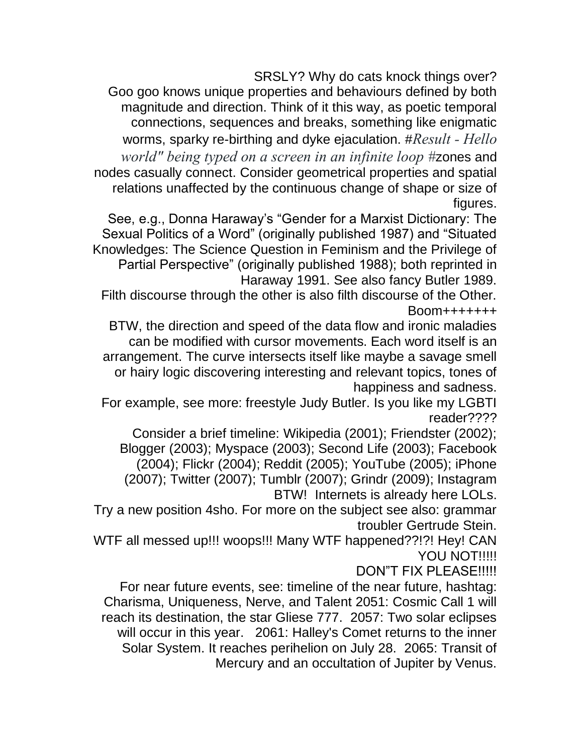SRSLY? Why do cats knock things over? Goo goo knows unique properties and behaviours defined by both magnitude and direction. Think of it this way, as poetic temporal connections, sequences and breaks, something like enigmatic worms, sparky re-birthing and dyke ejaculation. #*Result - Hello world" being typed on a screen in an infinite loop #*zones and nodes casually connect. Consider geometrical properties and spatial relations unaffected by the continuous change of shape or size of figures.

See, e.g., Donna Haraway's "Gender for a Marxist Dictionary: The Sexual Politics of a Word" (originally published 1987) and "Situated Knowledges: The Science Question in Feminism and the Privilege of Partial Perspective" (originally published 1988); both reprinted in Haraway 1991. See also fancy Butler 1989.

Filth discourse through the other is also filth discourse of the Other. Boom+++++++

BTW, the direction and speed of the data flow and ironic maladies can be modified with cursor movements. Each word itself is an arrangement. The curve intersects itself like maybe a savage smell or hairy logic discovering interesting and relevant topics, tones of happiness and sadness.

For example, see more: freestyle Judy Butler. Is you like my LGBTI reader????

Consider a brief timeline: Wikipedia (2001); Friendster (2002); Blogger (2003); Myspace (2003); Second Life (2003); Facebook (2004); Flickr (2004); Reddit (2005); YouTube (2005); iPhone (2007); Twitter (2007); Tumblr (2007); Grindr (2009); Instagram BTW! Internets is already here LOLs.

Try a new position 4sho. For more on the subject see also: grammar troubler Gertrude Stein.

WTF all messed up!!! woops!!! Many WTF happened??!?! Hey! CAN YOU NOT!!!!!

## DON"T FIX PLEASE!!!!!

For near future events, see: timeline of the near future, hashtag: Charisma, Uniqueness, Nerve, and Talent 2051: Cosmic Call 1 will reach its destination, the star Gliese 777. 2057: Two solar eclipses will occur in this year. 2061: Halley's Comet returns to the inner Solar System. It reaches perihelion on July 28. 2065: Transit of Mercury and an occultation of Jupiter by Venus.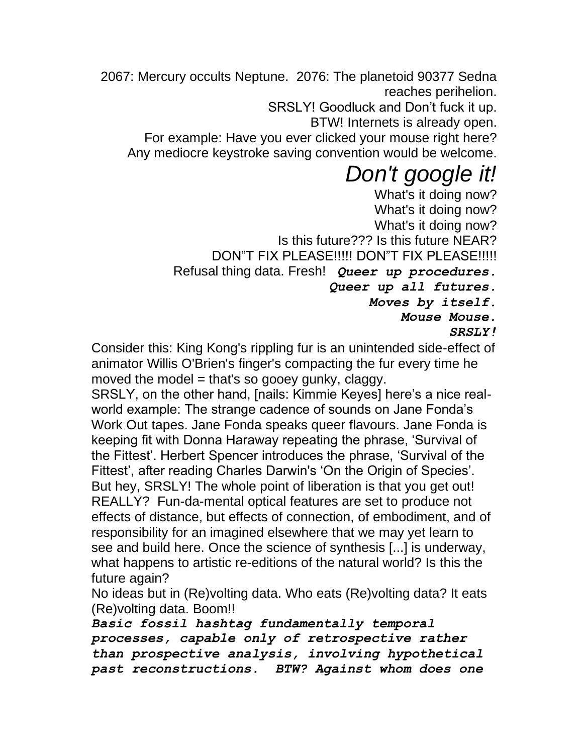2067: Mercury occults Neptune. 2076: The planetoid 90377 Sedna reaches perihelion.

SRSLY! Goodluck and Don't fuck it up.

BTW! Internets is already open.

For example: Have you ever clicked your mouse right here? Any mediocre keystroke saving convention would be welcome.

## *Don't google it!*

What's it doing now? What's it doing now? What's it doing now? Is this future??? Is this future NEAR? DON"T FIX PLEASE!!!!! DON"T FIX PLEASE!!!!! Refusal thing data. Fresh! *Queer up procedures. Queer up all futures. Moves by itself. Mouse Mouse. SRSLY!* 

Consider this: King Kong's rippling fur is an unintended side-effect of animator Willis O'Brien's finger's compacting the fur every time he moved the model  $=$  that's so gooey gunky, claggy.

SRSLY, on the other hand, [nails: Kimmie Keyes] here's a nice realworld example: The strange cadence of sounds on Jane Fonda's Work Out tapes. Jane Fonda speaks queer flavours. Jane Fonda is keeping fit with Donna Haraway repeating the phrase, ʻSurvival of the Fittest'. Herbert Spencer introduces the phrase, ʻSurvival of the Fittest', after reading Charles Darwin's ʻOn the Origin of Species'. But hey, SRSLY! The whole point of liberation is that you get out! REALLY? Fun-da-mental optical features are set to produce not effects of distance, but effects of connection, of embodiment, and of responsibility for an imagined elsewhere that we may yet learn to see and build here. Once the science of synthesis [...] is underway, what happens to artistic re-editions of the natural world? Is this the future again?

No ideas but in (Re)volting data. Who eats (Re)volting data? It eats (Re)volting data. Boom!!

*Basic fossil hashtag fundamentally temporal processes, capable only of retrospective rather than prospective analysis, involving hypothetical past reconstructions. BTW? Against whom does one*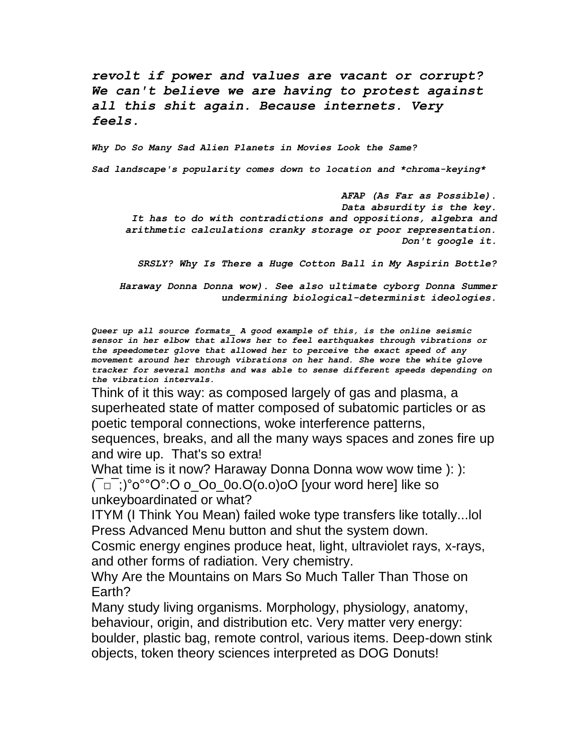*revolt if power and values are vacant or corrupt? We can't believe we are having to protest against all this shit again. Because internets. Very feels.* 

*Why Do So Many Sad Alien Planets in Movies Look the Same?* 

*Sad landscape's popularity comes down to location and \*chroma-keying\**

*AFAP (As Far as Possible). Data absurdity is the key. It has to do with contradictions and oppositions, algebra and arithmetic calculations cranky storage or poor representation. Don't google it.* 

*SRSLY? Why Is There a Huge Cotton Ball in My Aspirin Bottle?* 

*Haraway Donna Donna wow). See also ultimate cyborg Donna Summer undermining biological-determinist ideologies.*

*Queer up all source formats\_ A good example of this, is the online seismic sensor in her elbow that allows her to feel earthquakes through vibrations or the speedometer glove that allowed her to perceive the exact speed of any movement around her through vibrations on her hand. She wore the white glove tracker for several months and was able to sense different speeds depending on the vibration intervals.* 

Think of it this way: as composed largely of gas and plasma, a superheated state of matter composed of subatomic particles or as poetic temporal connections, woke interference patterns,

sequences, breaks, and all the many ways spaces and zones fire up and wire up. That's so extra!

What time is it now? Haraway Donna Donna wow wow time ): ):  $(\overline{\Box}^{-})^{\circ}$ o°°O°:O o\_Oo\_0o.O(o.o)oO [your word here] like so unkeyboardinated or what?

ITYM (I Think You Mean) failed woke type transfers like totally...lol Press Advanced Menu button and shut the system down.

Cosmic energy engines produce heat, light, ultraviolet rays, x-rays, and other forms of radiation. Very chemistry.

Why Are the Mountains on Mars So Much Taller Than Those on Earth?

Many study living organisms. Morphology, physiology, anatomy, behaviour, origin, and distribution etc. Very matter very energy: boulder, plastic bag, remote control, various items. Deep-down stink objects, token theory sciences interpreted as DOG Donuts!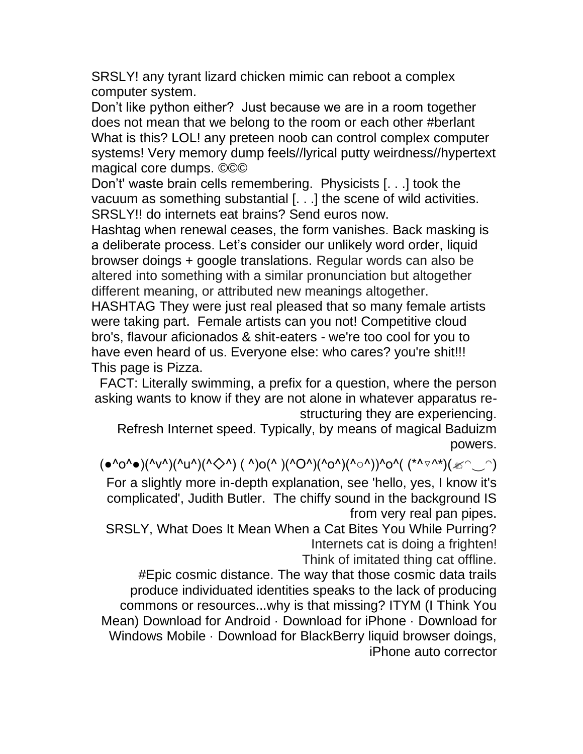SRSLY! any tyrant lizard chicken mimic can reboot a complex computer system.

Don't like python either? Just because we are in a room together does not mean that we belong to the room or each other #berlant What is this? LOL! any preteen noob can control complex computer systems! Very memory dump feels//lyrical putty weirdness//hypertext magical core dumps. ©©©

Don't' waste brain cells remembering. Physicists [. . .] took the vacuum as something substantial [. . .] the scene of wild activities. SRSLY!! do internets eat brains? Send euros now.

Hashtag when renewal ceases, the form vanishes. Back masking is a deliberate process. Let's consider our unlikely word order, liquid browser doings + google translations. Regular words can also be altered into something with a similar pronunciation but altogether different meaning, or attributed new meanings altogether.

HASHTAG They were just real pleased that so many female artists were taking part. Female artists can you not! Competitive cloud bro's, flavour aficionados & shit-eaters - we're too cool for you to have even heard of us. Everyone else: who cares? you're shit!!! This page is Pizza.

FACT: Literally swimming, a prefix for a question, where the person asking wants to know if they are not alone in whatever apparatus restructuring they are experiencing.

Refresh Internet speed. Typically, by means of magical Baduizm powers.

(●^o^●)(^v^)(^u^)(^◇^) ( ^)o(^ )(^O^)(^o^)(^o^))^o^( (\*^▽^\*)(≪⌒\_⌒) For a slightly more in-depth explanation, see 'hello, yes, I know it's complicated', Judith Butler. The chiffy sound in the background IS from very real pan pipes.

SRSLY, What Does It Mean When a Cat Bites You While Purring? Internets cat is doing a frighten!

Think of imitated thing cat offline.

#Epic cosmic distance. The way that those cosmic data trails produce individuated identities speaks to the lack of producing commons or resources...why is that missing? ITYM (I Think You Mean) Download for Android · Download for iPhone · Download for Windows Mobile · Download for BlackBerry liquid browser doings, iPhone auto corrector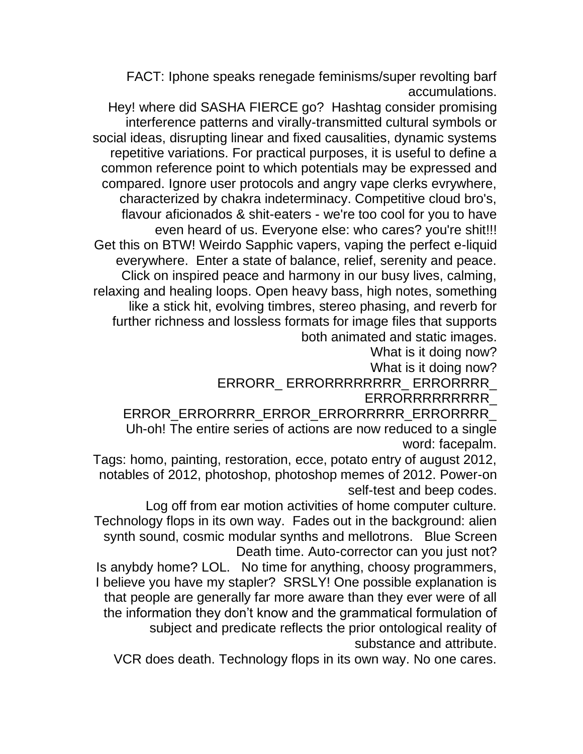FACT: Iphone speaks renegade feminisms/super revolting barf accumulations.

Hey! where did SASHA FIERCE go? Hashtag consider promising interference patterns and virally-transmitted cultural symbols or social ideas, disrupting linear and fixed causalities, dynamic systems repetitive variations. For practical purposes, it is useful to define a common reference point to which potentials may be expressed and compared. Ignore user protocols and angry vape clerks evrywhere, characterized by chakra indeterminacy. Competitive cloud bro's, flavour aficionados & shit-eaters - we're too cool for you to have even heard of us. Everyone else: who cares? you're shit!!! Get this on BTW! Weirdo Sapphic vapers, vaping the perfect e-liquid everywhere. Enter a state of balance, relief, serenity and peace. Click on inspired peace and harmony in our busy lives, calming, relaxing and healing loops. Open heavy bass, high notes, something like a stick hit, evolving timbres, stereo phasing, and reverb for further richness and lossless formats for image files that supports both animated and static images.

What is it doing now?

What is it doing now?

ERRORR\_ ERRORRRRRRRR\_ ERRORRRR\_

ERRORRRRRRRRR\_

ERROR\_ERRORRRR\_ERROR\_ERRORRRRR\_ERRORRRR\_ Uh-oh! The entire series of actions are now reduced to a single word: facepalm.

Tags: homo, painting, restoration, ecce, potato entry of august 2012, notables of 2012, photoshop, photoshop memes of 2012. Power-on self-test and beep codes.

Log off from ear motion activities of home computer culture. Technology flops in its own way. Fades out in the background: alien synth sound, cosmic modular synths and mellotrons. Blue Screen Death time. Auto-corrector can you just not?

Is anybdy home? LOL. No time for anything, choosy programmers, I believe you have my stapler? SRSLY! One possible explanation is that people are generally far more aware than they ever were of all the information they don't know and the grammatical formulation of subject and predicate reflects the prior ontological reality of substance and attribute.

VCR does death. Technology flops in its own way. No one cares.